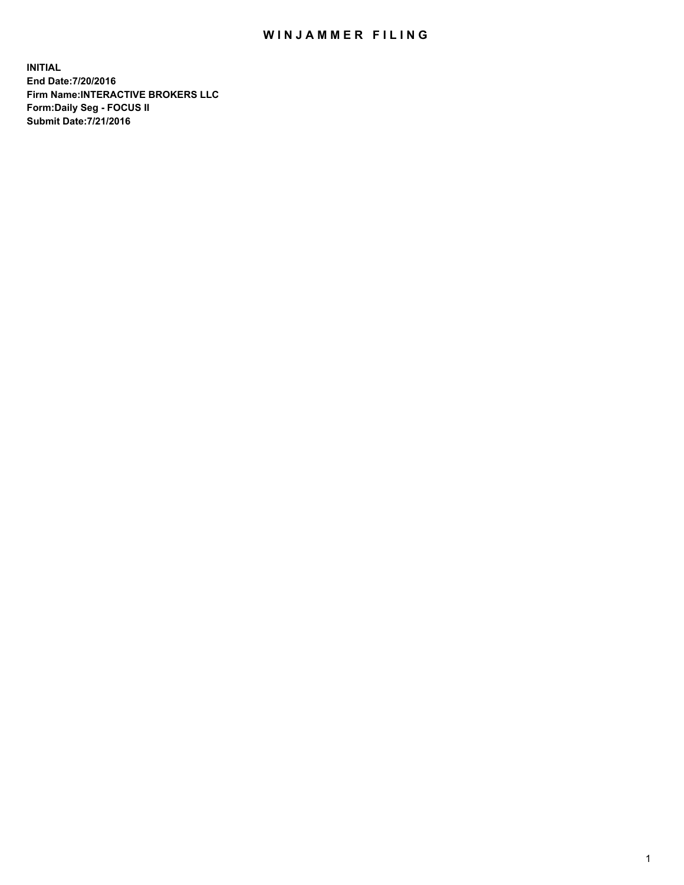## WIN JAMMER FILING

**INITIAL End Date:7/20/2016 Firm Name:INTERACTIVE BROKERS LLC Form:Daily Seg - FOCUS II Submit Date:7/21/2016**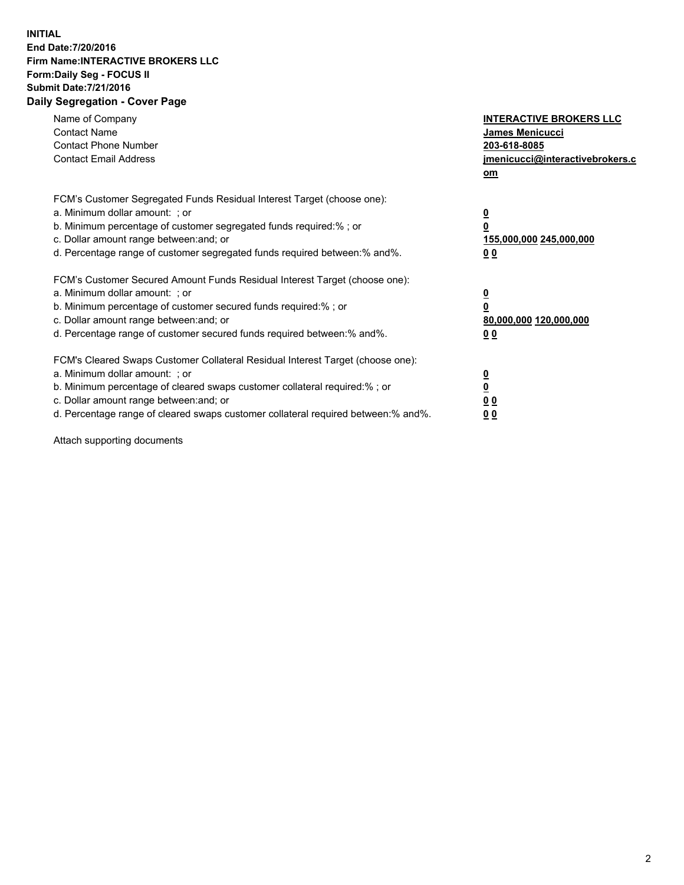## **INITIAL End Date:7/20/2016 Firm Name:INTERACTIVE BROKERS LLC Form:Daily Seg - FOCUS II Submit Date:7/21/2016 Daily Segregation - Cover Page**

| Name of Company<br><b>Contact Name</b><br><b>Contact Phone Number</b><br><b>Contact Email Address</b>                                                                                                                                                                                                                          | <b>INTERACTIVE BROKERS LLC</b><br><b>James Menicucci</b><br>203-618-8085<br>jmenicucci@interactivebrokers.c<br>om |
|--------------------------------------------------------------------------------------------------------------------------------------------------------------------------------------------------------------------------------------------------------------------------------------------------------------------------------|-------------------------------------------------------------------------------------------------------------------|
| FCM's Customer Segregated Funds Residual Interest Target (choose one):<br>a. Minimum dollar amount: ; or<br>b. Minimum percentage of customer segregated funds required:% ; or<br>c. Dollar amount range between: and; or<br>d. Percentage range of customer segregated funds required between:% and%.                         | $\overline{\mathbf{0}}$<br>0<br><u>155,000,000 245,000,000</u><br><u>00</u>                                       |
| FCM's Customer Secured Amount Funds Residual Interest Target (choose one):<br>a. Minimum dollar amount: ; or<br>b. Minimum percentage of customer secured funds required:%; or<br>c. Dollar amount range between: and; or<br>d. Percentage range of customer secured funds required between:% and%.                            | $\overline{\mathbf{0}}$<br>$\overline{\mathbf{0}}$<br>80,000,000 120,000,000<br>00                                |
| FCM's Cleared Swaps Customer Collateral Residual Interest Target (choose one):<br>a. Minimum dollar amount: ; or<br>b. Minimum percentage of cleared swaps customer collateral required:% ; or<br>c. Dollar amount range between: and; or<br>d. Percentage range of cleared swaps customer collateral required between:% and%. | $\underline{\mathbf{0}}$<br>$\underline{\mathbf{0}}$<br>0 <sub>0</sub><br>0 <sub>0</sub>                          |

Attach supporting documents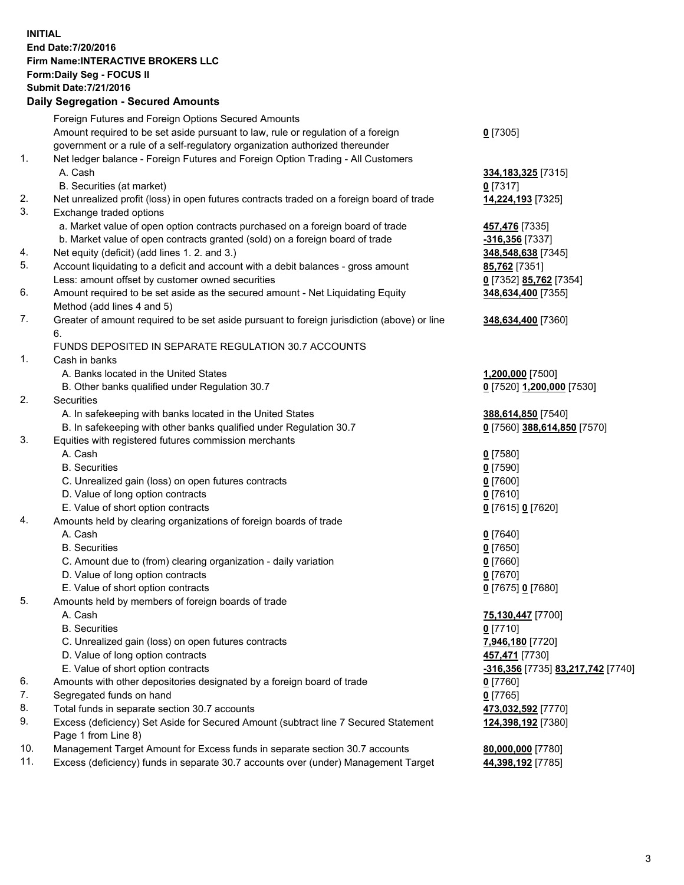## **INITIAL End Date:7/20/2016 Firm Name:INTERACTIVE BROKERS LLC Form:Daily Seg - FOCUS II Submit Date:7/21/2016 Daily Segregation - Secured Amounts**

|     | Daily Ocglegation - Occured Aniounts                                                        |                                   |
|-----|---------------------------------------------------------------------------------------------|-----------------------------------|
|     | Foreign Futures and Foreign Options Secured Amounts                                         |                                   |
|     | Amount required to be set aside pursuant to law, rule or regulation of a foreign            | $0$ [7305]                        |
|     | government or a rule of a self-regulatory organization authorized thereunder                |                                   |
| 1.  | Net ledger balance - Foreign Futures and Foreign Option Trading - All Customers             |                                   |
|     | A. Cash                                                                                     | 334, 183, 325 [7315]              |
|     | B. Securities (at market)                                                                   | $0$ [7317]                        |
| 2.  | Net unrealized profit (loss) in open futures contracts traded on a foreign board of trade   | 14,224,193 [7325]                 |
| 3.  | Exchange traded options                                                                     |                                   |
|     | a. Market value of open option contracts purchased on a foreign board of trade              | 457,476 [7335]                    |
|     | b. Market value of open contracts granted (sold) on a foreign board of trade                | -316,356 [7337]                   |
| 4.  | Net equity (deficit) (add lines 1.2. and 3.)                                                | 348,548,638 [7345]                |
| 5.  | Account liquidating to a deficit and account with a debit balances - gross amount           | <b>85,762</b> [7351]              |
|     | Less: amount offset by customer owned securities                                            | 0 [7352] 85,762 [7354]            |
| 6.  | Amount required to be set aside as the secured amount - Net Liquidating Equity              | 348,634,400 [7355]                |
|     | Method (add lines 4 and 5)                                                                  |                                   |
| 7.  | Greater of amount required to be set aside pursuant to foreign jurisdiction (above) or line | 348,634,400 [7360]                |
|     | 6.                                                                                          |                                   |
|     | FUNDS DEPOSITED IN SEPARATE REGULATION 30.7 ACCOUNTS                                        |                                   |
| 1.  | Cash in banks                                                                               |                                   |
|     | A. Banks located in the United States                                                       | 1,200,000 [7500]                  |
|     | B. Other banks qualified under Regulation 30.7                                              | 0 [7520] 1,200,000 [7530]         |
| 2.  | <b>Securities</b>                                                                           |                                   |
|     | A. In safekeeping with banks located in the United States                                   | 388,614,850 [7540]                |
|     | B. In safekeeping with other banks qualified under Regulation 30.7                          | 0 [7560] 388,614,850 [7570]       |
| 3.  | Equities with registered futures commission merchants                                       |                                   |
|     | A. Cash                                                                                     | $0$ [7580]                        |
|     | <b>B.</b> Securities                                                                        | $0$ [7590]                        |
|     |                                                                                             |                                   |
|     | C. Unrealized gain (loss) on open futures contracts                                         | $0$ [7600]                        |
|     | D. Value of long option contracts                                                           | $0$ [7610]                        |
| 4.  | E. Value of short option contracts                                                          | 0 [7615] 0 [7620]                 |
|     | Amounts held by clearing organizations of foreign boards of trade                           |                                   |
|     | A. Cash                                                                                     | $0$ [7640]                        |
|     | <b>B.</b> Securities                                                                        | $0$ [7650]                        |
|     | C. Amount due to (from) clearing organization - daily variation                             | $0$ [7660]                        |
|     | D. Value of long option contracts                                                           | $0$ [7670]                        |
|     | E. Value of short option contracts                                                          | 0 [7675] 0 [7680]                 |
| 5.  | Amounts held by members of foreign boards of trade                                          |                                   |
|     | A. Cash                                                                                     | 75,130,447 [7700]                 |
|     | <b>B.</b> Securities                                                                        | $0$ [7710]                        |
|     | C. Unrealized gain (loss) on open futures contracts                                         | 7,946,180 [7720]                  |
|     | D. Value of long option contracts                                                           | 457,471 [7730]                    |
|     | E. Value of short option contracts                                                          | -316,356 [7735] 83,217,742 [7740] |
| 6.  | Amounts with other depositories designated by a foreign board of trade                      | 0 [7760]                          |
| 7.  | Segregated funds on hand                                                                    | $0$ [7765]                        |
| 8.  | Total funds in separate section 30.7 accounts                                               | 473,032,592 [7770]                |
| 9.  | Excess (deficiency) Set Aside for Secured Amount (subtract line 7 Secured Statement         | 124,398,192 [7380]                |
|     | Page 1 from Line 8)                                                                         |                                   |
| 10. | Management Target Amount for Excess funds in separate section 30.7 accounts                 | 80,000,000 [7780]                 |
| 11. | Excess (deficiency) funds in separate 30.7 accounts over (under) Management Target          | 44,398,192 [7785]                 |
|     |                                                                                             |                                   |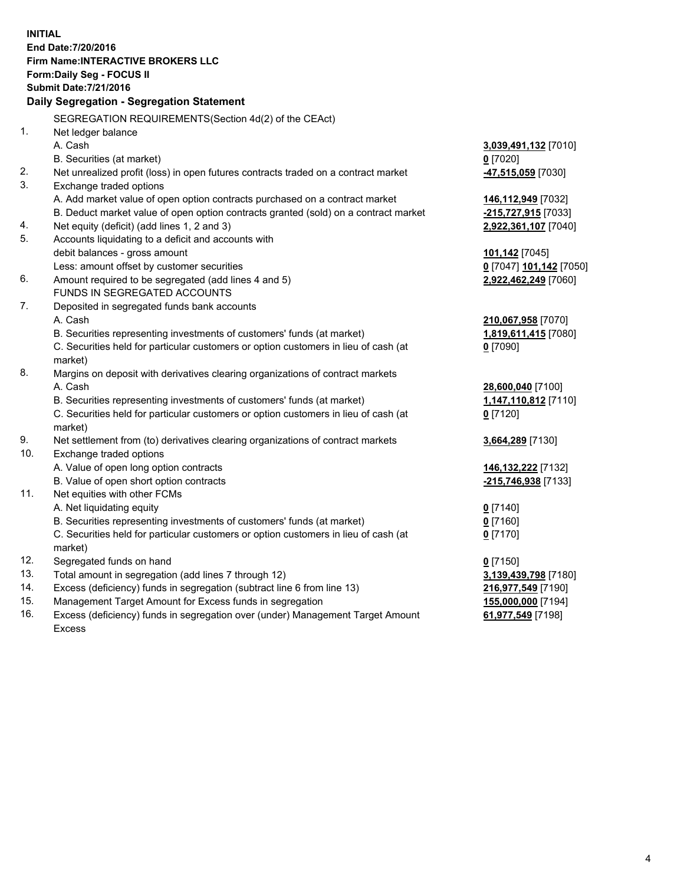**INITIAL End Date:7/20/2016 Firm Name:INTERACTIVE BROKERS LLC Form:Daily Seg - FOCUS II Submit Date:7/21/2016 Daily Segregation - Segregation Statement** SEGREGATION REQUIREMENTS(Section 4d(2) of the CEAct) 1. Net ledger balance A. Cash **3,039,491,132** [7010] B. Securities (at market) **0** [7020] 2. Net unrealized profit (loss) in open futures contracts traded on a contract market **-47,515,059** [7030] 3. Exchange traded options A. Add market value of open option contracts purchased on a contract market **146,112,949** [7032] B. Deduct market value of open option contracts granted (sold) on a contract market **-215,727,915** [7033] 4. Net equity (deficit) (add lines 1, 2 and 3) **2,922,361,107** [7040] 5. Accounts liquidating to a deficit and accounts with debit balances - gross amount **101,142** [7045] Less: amount offset by customer securities **0** [7047] **101,142** [7050] 6. Amount required to be segregated (add lines 4 and 5) **2,922,462,249** [7060] FUNDS IN SEGREGATED ACCOUNTS 7. Deposited in segregated funds bank accounts A. Cash **210,067,958** [7070] B. Securities representing investments of customers' funds (at market) **1,819,611,415** [7080] C. Securities held for particular customers or option customers in lieu of cash (at market) **0** [7090] 8. Margins on deposit with derivatives clearing organizations of contract markets A. Cash **28,600,040** [7100] B. Securities representing investments of customers' funds (at market) **1,147,110,812** [7110] C. Securities held for particular customers or option customers in lieu of cash (at market) **0** [7120] 9. Net settlement from (to) derivatives clearing organizations of contract markets **3,664,289** [7130] 10. Exchange traded options A. Value of open long option contracts **146,132,222** [7132] B. Value of open short option contracts **-215,746,938** [7133] 11. Net equities with other FCMs A. Net liquidating equity **0** [7140] B. Securities representing investments of customers' funds (at market) **0** [7160] C. Securities held for particular customers or option customers in lieu of cash (at market) **0** [7170] 12. Segregated funds on hand **0** [7150] 13. Total amount in segregation (add lines 7 through 12) **3,139,439,798** [7180] 14. Excess (deficiency) funds in segregation (subtract line 6 from line 13) **216,977,549** [7190] 15. Management Target Amount for Excess funds in segregation **155,000,000** [7194] **61,977,549** [7198]

16. Excess (deficiency) funds in segregation over (under) Management Target Amount Excess